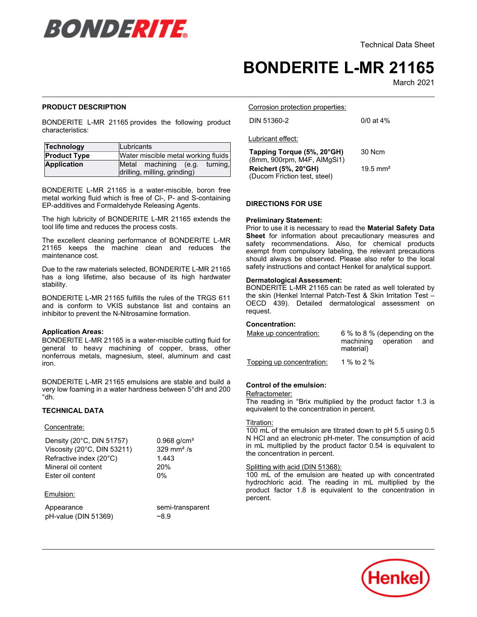

# **BONDERITE L-MR 21165**

March-2021

## **PRODUCT DESCRIPTION**

BONDERITE L-MR 21165 provides the following product characteristics:

| Technology          | Lubricants                                                        |  |
|---------------------|-------------------------------------------------------------------|--|
| <b>Product Type</b> | Water miscible metal working fluids                               |  |
| <b>Application</b>  | Metal machining (e.g.<br>turning.<br>drilling, milling, grinding) |  |

BONDERITE L-MR 21165 is a water-miscible, boron free metal working fluid which is free of Cl-, P- and S-containing EP-additives and Formaldehyde Releasing Agents.

The high lubricity of BONDERITE L-MR 21165 extends the the high lability of BoNBERTLE E MIX 21

The excellent cleaning performance of BONDERITE L-MR 21165 keeps the machine clean and reduces the maintenance cost.

Due to the raw materials selected, BONDERITE L-MR 21165 has a long lifetime, also because of its high hardwater nas a r<br>stability.

BONDERITE L-MR 21165 fulfills the rules of the TRGS 611 and is conform to VKIS substance list and contains an inhibitor to prevent the N-Nitrosamine formation.

## **Application Areas:**

BONDERITE L-MR 21165 is a water-miscible cutting fluid for general to heavy machining of copper, brass, other nonferrous metals, magnesium, steel, aluminum and cast iron.

BONDERITE L-MR 21165 emulsions are stable and build a very low foaming in a water hardness between 5°dH and 200 °dh.

## **TECHNICAL DATA**

## Concentrate:

Density (20°C, DIN 51757) 0.968 g/cm<sup>3</sup> Viscosity (20°C, DIN 53211) 329 mm²/s Refractive index (20°C) 2.443 Mineral oil content to the content of the content of the content of the content of the content of the content o<br>Allege of the content of the content of the content of the content of the content of the content of the conten Ester oil content 0%

## Emulsion:

AppearancepH-value (DIN 51369) ~8.9

semi-transparent

Corrosion protection properties:

DIN 51360-2 0/0 at 4%

Lubricant effect:

| Tapping Torque (5%, 20°GH)<br>(8mm, 900rpm, M4F, AlMgSi1) | 30 Ncm              |
|-----------------------------------------------------------|---------------------|
| Reichert (5%, 20°GH)                                      | $19.5 \text{ mm}^2$ |
| (Ducom Friction test, steel)                              |                     |

## **DIRECTIONS FOR USE**

## **Preliminary Statement:**

Prior to use it is necessary to read the **Material Safety Data Sheet** for information about precautionary measures and safety recommendations. Also, for chemical products exempt from compulsory labeling, the relevant precautions should always be observed. Please also refer to the local safety instructions and contact Henkel for analytical support.

## **Dermatological Assessment:**

BONDERITE L-MR 21165 can be rated as well tolerated by the skin (Henkel Internal Patch-Test & Skin Irritation Test – OECD 439). Detailed dermatological assessment on request.

#### **Concentration:**

| Make up concentration:    | 6 % to 8 % (depending on the<br>machining<br>operation<br>and<br>material) |
|---------------------------|----------------------------------------------------------------------------|
| Topping up concentration: | 1 % to 2 %                                                                 |

## **Control of the emulsion:**

#### Refractometer:

**REFIGUATE:**<br>The reading in °Brix multiplied by the product factor 1.3 is The redding in Brix mampled by the production

#### Titration:

100 mL of the emulsion are titrated down to pH 5.5 using 0.5 N HCl and an electronic pH-meter. The consumption of acid in mL multiplied by the product factor 0.54 is equivalent to If the maliphed by the product the concentration in percent.

## Splitting with acid (DIN 51368):

100 mL of the emulsion are heated up with concentrated hydrochloric acid. The reading in mL multiplied by the product factor 1.8 is equivalent to the concentration in percent.